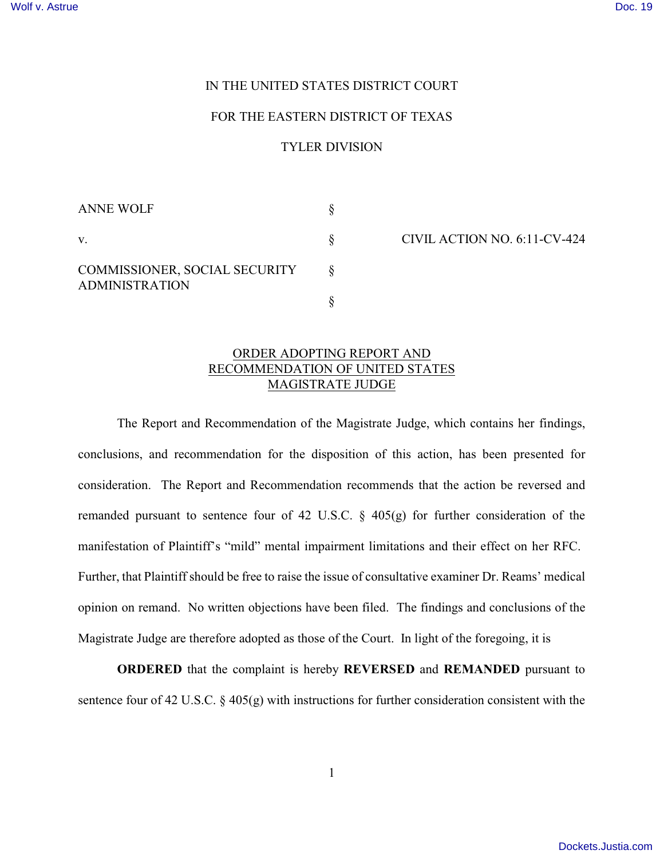## IN THE UNITED STATES DISTRICT COURT

## FOR THE EASTERN DISTRICT OF TEXAS

## TYLER DIVISION

| <b>ANNE WOLF</b>                                       |  |
|--------------------------------------------------------|--|
| V.                                                     |  |
| COMMISSIONER, SOCIAL SECURITY<br><b>ADMINISTRATION</b> |  |
|                                                        |  |

CIVIL ACTION NO. 6:11-CV-424

## ORDER ADOPTING REPORT AND RECOMMENDATION OF UNITED STATES MAGISTRATE JUDGE

The Report and Recommendation of the Magistrate Judge, which contains her findings, conclusions, and recommendation for the disposition of this action, has been presented for consideration. The Report and Recommendation recommends that the action be reversed and remanded pursuant to sentence four of 42 U.S.C. § 405(g) for further consideration of the manifestation of Plaintiff's "mild" mental impairment limitations and their effect on her RFC. Further, that Plaintiff should be free to raise the issue of consultative examiner Dr. Reams' medical opinion on remand. No written objections have been filed. The findings and conclusions of the Magistrate Judge are therefore adopted as those of the Court. In light of the foregoing, it is

**ORDERED** that the complaint is hereby **REVERSED** and **REMANDED** pursuant to sentence four of 42 U.S.C. § 405(g) with instructions for further consideration consistent with the